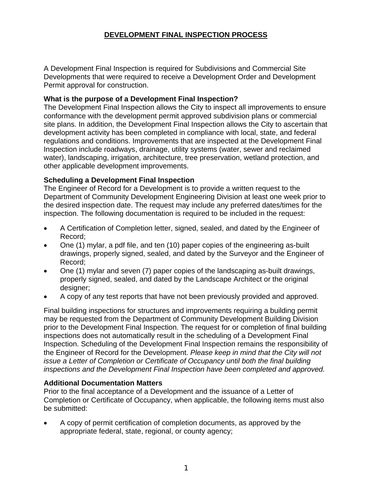# **DEVELOPMENT FINAL INSPECTION PROCESS**

A Development Final Inspection is required for Subdivisions and Commercial Site Developments that were required to receive a Development Order and Development Permit approval for construction.

#### **What is the purpose of a Development Final Inspection?**

The Development Final Inspection allows the City to inspect all improvements to ensure conformance with the development permit approved subdivision plans or commercial site plans. In addition, the Development Final Inspection allows the City to ascertain that development activity has been completed in compliance with local, state, and federal regulations and conditions. Improvements that are inspected at the Development Final Inspection include roadways, drainage, utility systems (water, sewer and reclaimed water), landscaping, irrigation, architecture, tree preservation, wetland protection, and other applicable development improvements.

### **Scheduling a Development Final Inspection**

The Engineer of Record for a Development is to provide a written request to the Department of Community Development Engineering Division at least one week prior to the desired inspection date. The request may include any preferred dates/times for the inspection. The following documentation is required to be included in the request:

- A Certification of Completion letter, signed, sealed, and dated by the Engineer of Record;
- One (1) mylar, a pdf file, and ten (10) paper copies of the engineering as-built drawings, properly signed, sealed, and dated by the Surveyor and the Engineer of Record;
- One (1) mylar and seven (7) paper copies of the landscaping as-built drawings, properly signed, sealed, and dated by the Landscape Architect or the original designer:
- A copy of any test reports that have not been previously provided and approved.

Final building inspections for structures and improvements requiring a building permit may be requested from the Department of Community Development Building Division prior to the Development Final Inspection. The request for or completion of final building inspections does not automatically result in the scheduling of a Development Final Inspection. Scheduling of the Development Final Inspection remains the responsibility of the Engineer of Record for the Development. *Please keep in mind that the City will not issue a Letter of Completion or Certificate of Occupancy until both the final building inspections and the Development Final Inspection have been completed and approved.*

#### **Additional Documentation Matters**

Prior to the final acceptance of a Development and the issuance of a Letter of Completion or Certificate of Occupancy, when applicable, the following items must also be submitted:

• A copy of permit certification of completion documents, as approved by the appropriate federal, state, regional, or county agency;